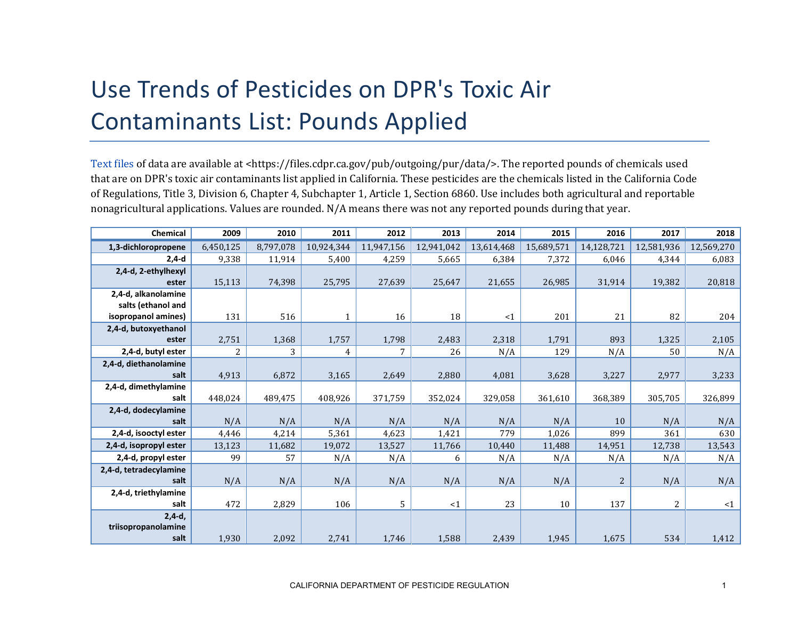## Use Trends of Pesticides on DPR's Toxic Air Contaminants List: Pounds Applied

[Text files](https://files.cdpr.ca.gov/pub/outgoing/pur/data/) of data are available at <https://files.cdpr.ca.gov/pub/outgoing/pur/data/>. The reported pounds of chemicals used that are on DPR's toxic air contaminants list applied in California. These pesticides are the chemicals listed in the California Code of Regulations, Title 3, Division 6, Chapter 4, Subchapter 1, Article 1, Section 6860. Use includes both agricultural and reportable nonagricultural applications. Values are rounded. N/A means there was not any reported pounds during that year.

| Chemical               | 2009      | 2010      | 2011       | 2012       | 2013       | 2014       | 2015       | 2016       | 2017       | 2018       |
|------------------------|-----------|-----------|------------|------------|------------|------------|------------|------------|------------|------------|
| 1,3-dichloropropene    | 6,450,125 | 8,797,078 | 10,924,344 | 11,947,156 | 12,941,042 | 13,614,468 | 15,689,571 | 14,128,721 | 12,581,936 | 12,569,270 |
| $2,4-d$                | 9,338     | 11,914    | 5,400      | 4,259      | 5,665      | 6,384      | 7,372      | 6,046      | 4,344      | 6,083      |
| 2,4-d, 2-ethylhexyl    |           |           |            |            |            |            |            |            |            |            |
| ester                  | 15,113    | 74,398    | 25,795     | 27,639     | 25,647     | 21,655     | 26,985     | 31,914     | 19,382     | 20,818     |
| 2,4-d, alkanolamine    |           |           |            |            |            |            |            |            |            |            |
| salts (ethanol and     |           |           |            |            |            |            |            |            |            |            |
| isopropanol amines)    | 131       | 516       |            | 16         | 18         | $\leq 1$   | 201        | 21         | 82         | 204        |
| 2,4-d, butoxyethanol   |           |           |            |            |            |            |            |            |            |            |
| ester                  | 2,751     | 1,368     | 1,757      | 1,798      | 2,483      | 2,318      | 1,791      | 893        | 1,325      | 2,105      |
| 2,4-d, butyl ester     | 2         | 3         | 4          | 7          | 26         | N/A        | 129        | N/A        | 50         | N/A        |
| 2,4-d, diethanolamine  |           |           |            |            |            |            |            |            |            |            |
| salt                   | 4,913     | 6,872     | 3,165      | 2,649      | 2,880      | 4,081      | 3,628      | 3,227      | 2,977      | 3,233      |
| 2,4-d, dimethylamine   |           |           |            |            |            |            |            |            |            |            |
| salt                   | 448,024   | 489,475   | 408,926    | 371,759    | 352,024    | 329,058    | 361,610    | 368,389    | 305,705    | 326,899    |
| 2,4-d, dodecylamine    |           |           |            |            |            |            |            |            |            |            |
| salt                   | N/A       | N/A       | N/A        | N/A        | N/A        | N/A        | N/A        | 10         | N/A        | N/A        |
| 2,4-d, isooctyl ester  | 4,446     | 4,214     | 5,361      | 4,623      | 1,421      | 779        | 1,026      | 899        | 361        | 630        |
| 2,4-d, isopropyl ester | 13,123    | 11,682    | 19,072     | 13,527     | 11,766     | 10,440     | 11,488     | 14,951     | 12,738     | 13,543     |
| 2,4-d, propyl ester    | 99        | 57        | N/A        | N/A        | 6          | N/A        | N/A        | N/A        | N/A        | N/A        |
| 2,4-d, tetradecylamine |           |           |            |            |            |            |            |            |            |            |
| salt                   | N/A       | N/A       | N/A        | N/A        | N/A        | N/A        | N/A        | 2          | N/A        | N/A        |
| 2,4-d, triethylamine   |           |           |            |            |            |            |            |            |            |            |
| salt                   | 472       | 2,829     | 106        | 5          | <1         | 23         | 10         | 137        | 2          | <1         |
| $2,4-d,$               |           |           |            |            |            |            |            |            |            |            |
| triisopropanolamine    |           |           |            |            |            |            |            |            |            |            |
| salt                   | 1,930     | 2,092     | 2,741      | 1,746      | 1,588      | 2,439      | 1,945      | 1,675      | 534        | 1,412      |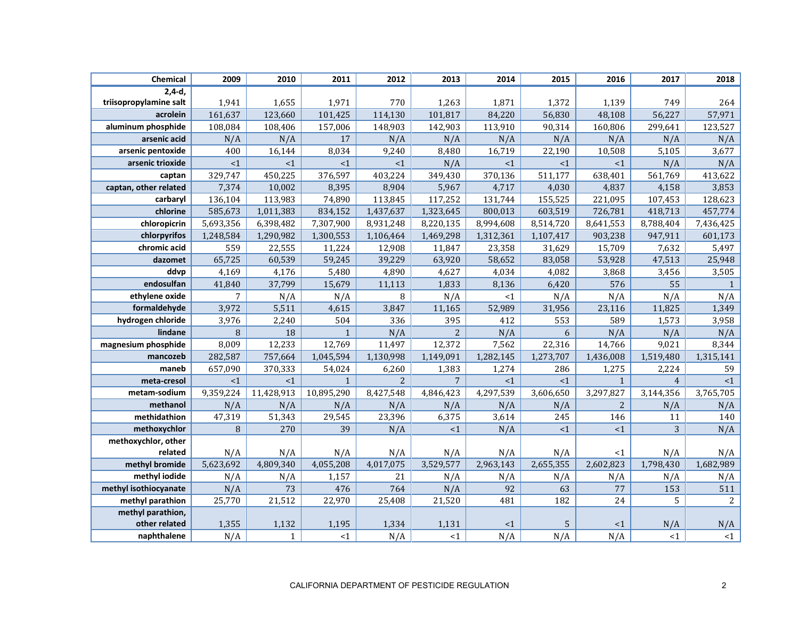| Chemical               | 2009            | 2010         | 2011         | 2012           | 2013           | 2014      | 2015      | 2016           | 2017           | 2018           |
|------------------------|-----------------|--------------|--------------|----------------|----------------|-----------|-----------|----------------|----------------|----------------|
| $2,4-d,$               |                 |              |              |                |                |           |           |                |                |                |
| triisopropylamine salt | 1,941           | 1,655        | 1,971        | 770            | 1,263          | 1,871     | 1,372     | 1,139          | 749            | 264            |
| acrolein               | 161,637         | 123,660      | 101,425      | 114,130        | 101,817        | 84,220    | 56,830    | 48,108         | 56,227         | 57,971         |
| aluminum phosphide     | 108,084         | 108,406      | 157,006      | 148,903        | 142,903        | 113,910   | 90,314    | 160,806        | 299,641        | 123,527        |
| arsenic acid           | N/A             | N/A          | 17           | N/A            | N/A            | N/A       | N/A       | N/A            | N/A            | N/A            |
| arsenic pentoxide      | 400             | 16,144       | 8,034        | 9,240          | 8,480          | 16,719    | 22,190    | 10,508         | 5,105          | 3,677          |
| arsenic trioxide       | <1              | <1           | <1           | <1             | N/A            | <1        | <1        | <1             | N/A            | N/A            |
| captan                 | 329,747         | 450,225      | 376,597      | 403,224        | 349,430        | 370,136   | 511,177   | 638,401        | 561,769        | 413,622        |
| captan, other related  | 7,374           | 10,002       | 8,395        | 8,904          | 5,967          | 4,717     | 4,030     | 4,837          | 4,158          | 3,853          |
| carbaryl               | 136,104         | 113,983      | 74,890       | 113,845        | 117,252        | 131,744   | 155,525   | 221,095        | 107,453        | 128,623        |
| chlorine               | 585,673         | 1,011,383    | 834,152      | 1,437,637      | 1,323,645      | 800,013   | 603,519   | 726,781        | 418,713        | 457,774        |
| chloropicrin           | 5,693,356       | 6,398,482    | 7,307,900    | 8,931,248      | 8,220,135      | 8,994,608 | 8,514,720 | 8,641,553      | 8,788,404      | 7,436,425      |
| chlorpyrifos           | 1,248,584       | 1,290,982    | 1,300,553    | 1,106,464      | 1,469,298      | 1,312,361 | 1,107,417 | 903,238        | 947,911        | 601,173        |
| chromic acid           | 559             | 22,555       | 11,224       | 12,908         | 11,847         | 23,358    | 31,629    | 15,709         | 7,632          | 5,497          |
| dazomet                | 65,725          | 60,539       | 59,245       | 39,229         | 63,920         | 58,652    | 83,058    | 53,928         | 47,513         | 25,948         |
| ddvp                   | 4,169           | 4,176        | 5,480        | 4,890          | 4,627          | 4,034     | 4,082     | 3,868          | 3,456          | 3,505          |
| endosulfan             | 41,840          | 37,799       | 15,679       | 11,113         | 1,833          | 8,136     | 6,420     | 576            | 55             | $\mathbf{1}$   |
| ethylene oxide         | $7\overline{ }$ | N/A          | N/A          | 8              | N/A            | <1        | N/A       | N/A            | N/A            | N/A            |
| formaldehyde           | 3,972           | 5,511        | 4,615        | 3,847          | 11,165         | 52,989    | 31,956    | 23,116         | 11,825         | 1,349          |
| hydrogen chloride      | 3,976           | 2,240        | 504          | 336            | 395            | 412       | 553       | 589            | 1,573          | 3,958          |
| lindane                | 8               | 18           | $\mathbf{1}$ | N/A            | $\overline{2}$ | N/A       | 6         | N/A            | N/A            | N/A            |
| magnesium phosphide    | 8,009           | 12,233       | 12,769       | 11,497         | 12,372         | 7,562     | 22,316    | 14,766         | 9,021          | 8,344          |
| mancozeb               | 282,587         | 757,664      | 1,045,594    | 1,130,998      | 1,149,091      | 1,282,145 | 1,273,707 | 1,436,008      | 1,519,480      | 1,315,141      |
| maneb                  | 657,090         | 370,333      | 54,024       | 6,260          | 1,383          | 1,274     | 286       | 1,275          | 2,224          | 59             |
| meta-cresol            | <1              | <1           | $\mathbf{1}$ | $\overline{2}$ | $\overline{7}$ | <1        | <1        | $\mathbf{1}$   | $\overline{4}$ | <1             |
| metam-sodium           | 9,359,224       | 11,428,913   | 10,895,290   | 8,427,548      | 4,846,423      | 4,297,539 | 3,606,650 | 3,297,827      | 3,144,356      | 3,765,705      |
| methanol               | N/A             | N/A          | N/A          | N/A            | N/A            | N/A       | N/A       | $\overline{2}$ | N/A            | N/A            |
| methidathion           | 47,319          | 51,343       | 29,545       | 23,396         | 6,375          | 3,614     | 245       | 146            | 11             | 140            |
| methoxychlor           | 8               | 270          | 39           | N/A            | <1             | N/A       | <1        | <1             | 3              | N/A            |
| methoxychlor, other    |                 |              |              |                |                |           |           |                |                |                |
| related                | N/A             | N/A          | N/A          | N/A            | N/A            | N/A       | N/A       | $<$ 1          | N/A            | N/A            |
| methyl bromide         | 5,623,692       | 4,809,340    | 4,055,208    | 4,017,075      | 3,529,577      | 2,963,143 | 2,655,355 | 2,602,823      | 1,798,430      | 1,682,989      |
| methyl iodide          | N/A             | N/A          | 1,157        | 21             | N/A            | N/A       | N/A       | N/A            | N/A            | N/A            |
| methyl isothiocyanate  | N/A             | 73           | 476          | 764            | N/A            | 92        | 63        | 77             | 153            | 511            |
| methyl parathion       | 25,770          | 21,512       | 22,970       | 25,408         | 21,520         | 481       | 182       | 24             | 5              | $\overline{2}$ |
| methyl parathion,      |                 |              |              |                |                |           |           |                |                |                |
| other related          | 1,355           | 1,132        | 1,195        | 1,334          | 1,131          | <1        | 5         | $\leq 1$       | N/A            | N/A            |
| naphthalene            | N/A             | $\mathbf{1}$ | <1           | N/A            | <1             | N/A       | N/A       | N/A            | ${<}1$         | $\leq 1$       |